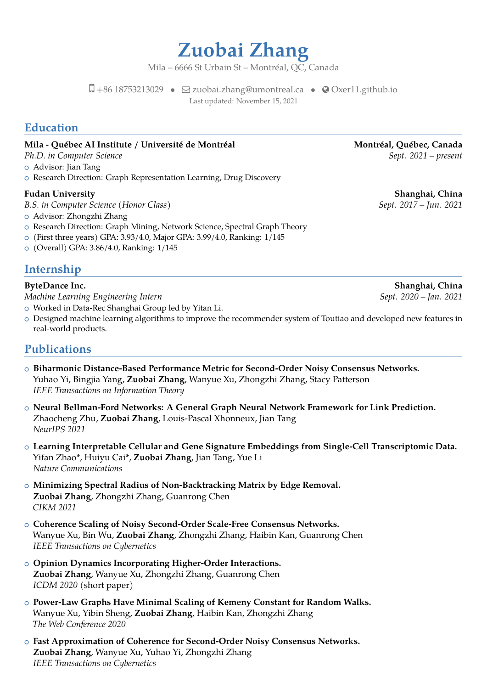**Zuobai Zhang**

Mila – 6666 St Urbain St – Montréal, QC, Canada

 $\Box$  +86 18753213029 •  $\Box$  [zuobai.zhang@umontreal.ca](mailto:zuobai.zhang@umontreal.ca) • ⊙ [Oxer11.github.io](http://Oxer11.github.io) Last updated: November 15, 2021

## **Education**

### **Mila - Québec AI Institute / Université de Montréal Montréal, Québec, Canada**

- o Advisor: Jian Tang
- o Research Direction: Graph Representation Learning, Drug Discovery

- *B.S. in Computer Science (Honor Class) Sept. 2017 Jun. 2021*
- o Advisor: Zhongzhi Zhang
- o Research Direction: Graph Mining, Network Science, Spectral Graph Theory
- <sup>+</sup> (First three years) GPA: 3.93/4.0, Major GPA: 3.99/4.0, Ranking: 1/145
- <sup>+</sup> (Overall) GPA: 3.86/4.0, Ranking: 1/145

### **Internship**

*Machine Learning Engineering Intern Sept. 2020 – Jan. 2021*

- o Worked in Data-Rec Shanghai Group led by Yitan Li.
- o Designed machine learning algorithms to improve the recommender system of Toutiao and developed new features in real-world products.

### **Publications**

- <sup>+</sup> **Biharmonic Distance-Based Performance Metric for Second-Order Noisy Consensus Networks.** Yuhao Yi, Bingjia Yang, **Zuobai Zhang**, Wanyue Xu, Zhongzhi Zhang, Stacy Patterson *IEEE Transactions on Information Theory*
- <sup>+</sup> **Neural Bellman-Ford Networks: A General Graph Neural Network Framework for Link Prediction.** Zhaocheng Zhu, **Zuobai Zhang**, Louis-Pascal Xhonneux, Jian Tang *NeurIPS 2021*
- <sup>+</sup> **Learning Interpretable Cellular and Gene Signature Embeddings from Single-Cell Transcriptomic Data.** Yifan Zhao\*, Huiyu Cai\*, **Zuobai Zhang**, Jian Tang, Yue Li *Nature Communications*
- <sup>+</sup> **Minimizing Spectral Radius of Non-Backtracking Matrix by Edge Removal. Zuobai Zhang**, Zhongzhi Zhang, Guanrong Chen *CIKM 2021*
- <sup>+</sup> **Coherence Scaling of Noisy Second-Order Scale-Free Consensus Networks.** Wanyue Xu, Bin Wu, **Zuobai Zhang**, Zhongzhi Zhang, Haibin Kan, Guanrong Chen *IEEE Transactions on Cybernetics*
- <sup>+</sup> **Opinion Dynamics Incorporating Higher-Order Interactions. Zuobai Zhang**, Wanyue Xu, Zhongzhi Zhang, Guanrong Chen *ICDM 2020* (short paper)
- <sup>+</sup> **Power-Law Graphs Have Minimal Scaling of Kemeny Constant for Random Walks.** Wanyue Xu, Yibin Sheng, **Zuobai Zhang**, Haibin Kan, Zhongzhi Zhang *The Web Conference 2020*
- <sup>+</sup> **Fast Approximation of Coherence for Second-Order Noisy Consensus Networks. Zuobai Zhang**, Wanyue Xu, Yuhao Yi, Zhongzhi Zhang *IEEE Transactions on Cybernetics*

*Ph.D. in Computer Science* Science Sept. 2021 – present

**Fudan University Shanghai, China**

**ByteDance Inc. Shanghai, China**